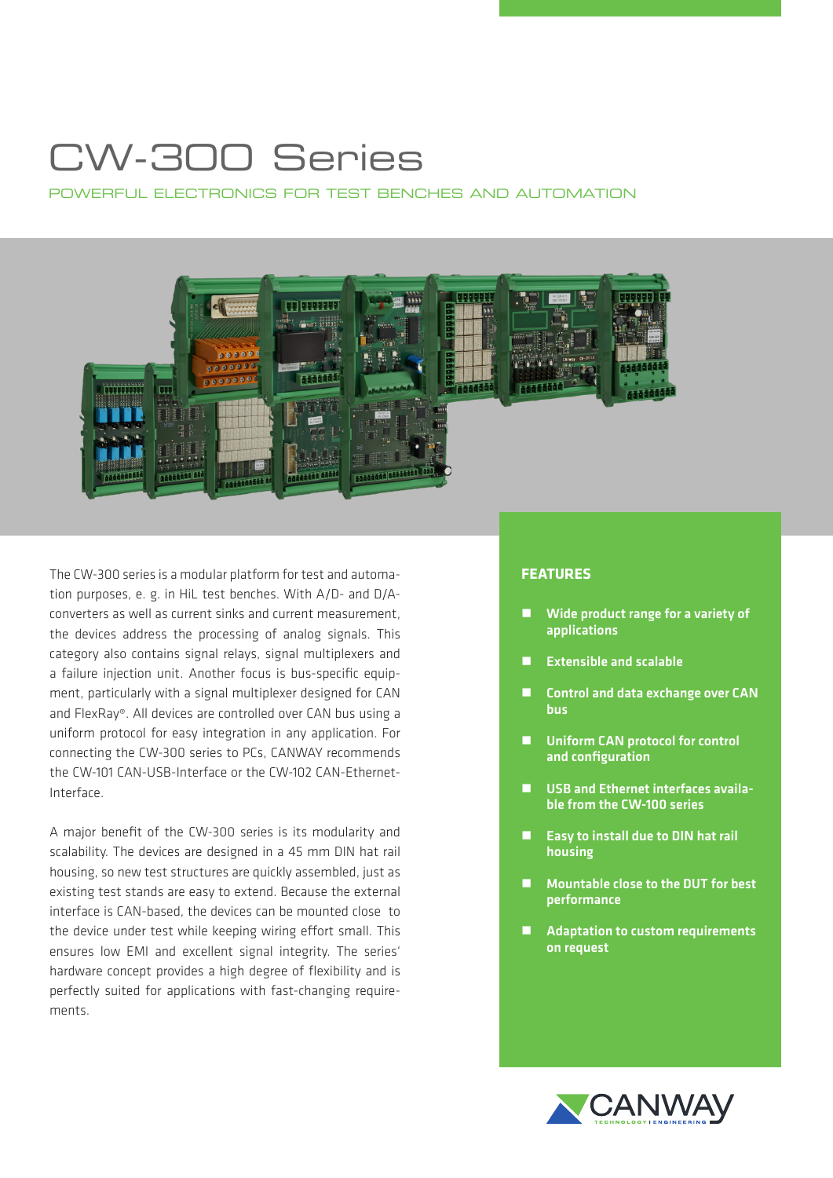## CW-300 Series

POWERFUL ELECTRONICS FOR TEST BENCHES AND AUTOMATION



The CW-300 series is a modular platform for test and automation purposes, e. g. in HiL test benches. With A/D- and D/Aconverters as well as current sinks and current measurement, the devices address the processing of analog signals. This category also contains signal relays, signal multiplexers and a failure injection unit. Another focus is bus-specific equipment, particularly with a signal multiplexer designed for CAN and FlexRay®. All devices are controlled over CAN bus using a uniform protocol for easy integration in any application. For connecting the CW-300 series to PCs, CANWAY recommends the CW-101 CAN-USB-Interface or the CW-102 CAN-Ethernet-Interface.

A major benefit of the CW-300 series is its modularity and scalability. The devices are designed in a 45 mm DIN hat rail housing, so new test structures are quickly assembled, just as existing test stands are easy to extend. Because the external interface is CAN-based, the devices can be mounted close to the device under test while keeping wiring effort small. This ensures low EMI and excellent signal integrity. The series' hardware concept provides a high degree of flexibility and is perfectly suited for applications with fast-changing requirements.

## **FEATURES**

- Wide product range for a variety of applications
- **Extensible and scalable**
- Control and data exchange over CAN bus
- Uniform CAN protocol for control and configuration
- USB and Ethernet interfaces available from the CW-100 series
- $\blacksquare$  Easy to install due to DIN hat rail housing
- Mountable close to the DUT for best performance
- Adaptation to custom requirements on request